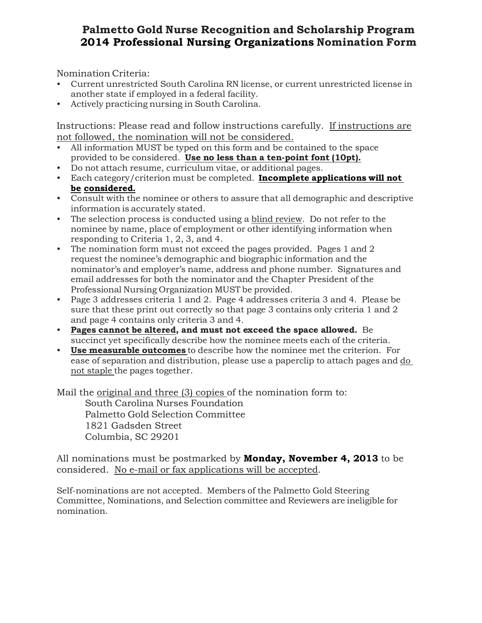Nomination Criteria:

- Current unrestricted South Carolina RN license, or current unrestricted license in another state if employed in a federal facility.
- Actively practicing nursing in South Carolina.

Instructions: Please read and follow instructions carefully. If instructions are not followed, the nomination will not be considered.

- All information MUST be typed on this form and be contained to the space provided to be considered. **Use no less than a ten-point font (10pt).**
- Do not attach resume, curriculum vitae, or additional pages.
- Each category/criterion must be completed. **Incomplete applications will not be considered.**
- Consult with the nominee or others to assure that all demographic and descriptive information is accurately stated.
- The selection process is conducted using a blind review. Do not refer to the nominee by name, place of employment or other identifying information when responding to Criteria 1, 2, 3, and 4.
- The nomination form must not exceed the pages provided. Pages 1 and 2 request the nominee's demographic and biographic information and the nominator's and employer's name, address and phone number. Signatures and email addresses for both the nominator and the Chapter President of the Professional Nursing Organization MUST be provided.
- Page 3 addresses criteria 1 and 2. Page 4 addresses criteria 3 and 4. Please be sure that these print out correctly so that page 3 contains only criteria 1 and 2 and page 4 contains only criteria 3 and 4.
- **Pages cannot be altered, and must not exceed the space allowed.** Be succinct yet specifically describe how the nominee meets each of the criteria.
- **Use measurable outcomes** to describe how the nominee met the criterion. For ease of separation and distribution, please use a paperclip to attach pages and do not staple the pages together.

Mail the original and three (3) copies of the nomination form to:

South Carolina Nurses Foundation Palmetto Gold Selection Committee 1821 Gadsden Street Columbia, SC 29201

All nominations must be postmarked by **Monday, November 4, 2013** to be considered. No e-mail or fax applications will be accepted.

Self-nominations are not accepted. Members of the Palmetto Gold Steering Committee, Nominations, and Selection committee and Reviewers are ineligible for nomination.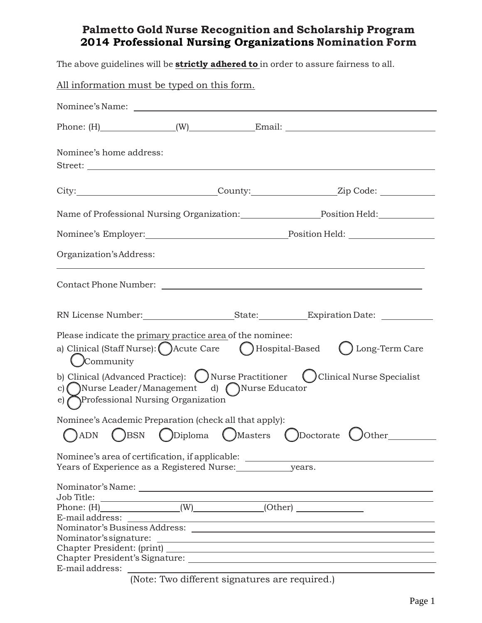The above guidelines will be **strictly adhered to** in order to assure fairness to all.

| All information must be typed on this form.                                                                                                                                         |
|-------------------------------------------------------------------------------------------------------------------------------------------------------------------------------------|
|                                                                                                                                                                                     |
|                                                                                                                                                                                     |
| Nominee's home address:                                                                                                                                                             |
| City:_______________________________County:_________________Zip Code: ___________                                                                                                   |
| Name of Professional Nursing Organization: Position Held: Position Held:                                                                                                            |
|                                                                                                                                                                                     |
| Organization's Address:                                                                                                                                                             |
|                                                                                                                                                                                     |
|                                                                                                                                                                                     |
| Please indicate the primary practice area of the nominee:<br>a) Clinical (Staff Nurse): ( ) Acute Care ( ) Hospital-Based<br>() Long-Term Care<br>(Community                        |
| b) Clinical (Advanced Practice): ( ) Nurse Practitioner ( ) Clinical Nurse Specialist<br>c) () Nurse Leader/Management d) () Nurse Educator<br>e) Professional Nursing Organization |
| Nominee's Academic Preparation (check all that apply):                                                                                                                              |
| ( )Masters<br>Diploma<br>(Doctorate)<br><b>BSN</b><br>$\bigcup$ Other<br><b>ADN</b>                                                                                                 |
| Nominee's area of certification, if applicable: ________________________________                                                                                                    |
| Job Title:                                                                                                                                                                          |
|                                                                                                                                                                                     |
| E-mail address:<br><u> 1989 - Johann Harry Barn, mars and deutscher Stadt and deutscher Stadt and deutscher Stadt and deutscher Stadt</u>                                           |
|                                                                                                                                                                                     |
|                                                                                                                                                                                     |
|                                                                                                                                                                                     |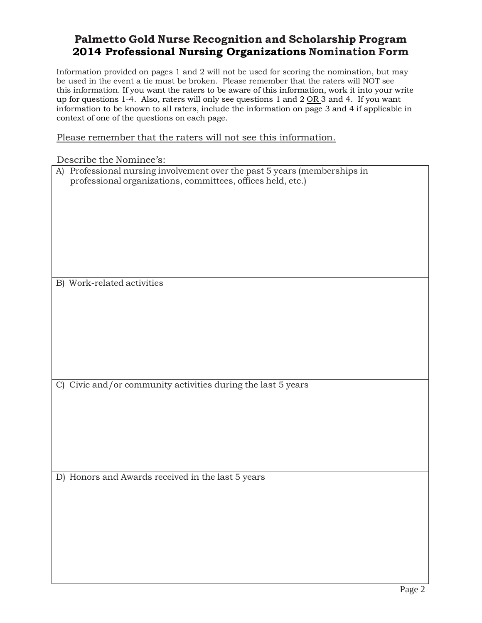Information provided on pages 1 and 2 will not be used for scoring the nomination, but may be used in the event a tie must be broken. Please remember that the raters will NOT see this information. If you want the raters to be aware of this information, work it into your write up for questions 1-4. Also, raters will only see questions 1 and 2  $OR$  3 and 4. If you want information to be known to all raters, include the information on page 3 and 4 if applicable in context of one of the questions on each page.

Please remember that the raters will not see this information.

Describe the Nominee's:

| DESCHING THE MONITHING S.                                                                                                                |
|------------------------------------------------------------------------------------------------------------------------------------------|
| A) Professional nursing involvement over the past 5 years (memberships in<br>professional organizations, committees, offices held, etc.) |
|                                                                                                                                          |
|                                                                                                                                          |
|                                                                                                                                          |
|                                                                                                                                          |
| B) Work-related activities                                                                                                               |
|                                                                                                                                          |
|                                                                                                                                          |
|                                                                                                                                          |
|                                                                                                                                          |
|                                                                                                                                          |
| C) Civic and/or community activities during the last 5 years                                                                             |
|                                                                                                                                          |
|                                                                                                                                          |
|                                                                                                                                          |
| D) Honors and Awards received in the last 5 years                                                                                        |
|                                                                                                                                          |
|                                                                                                                                          |
|                                                                                                                                          |
|                                                                                                                                          |
|                                                                                                                                          |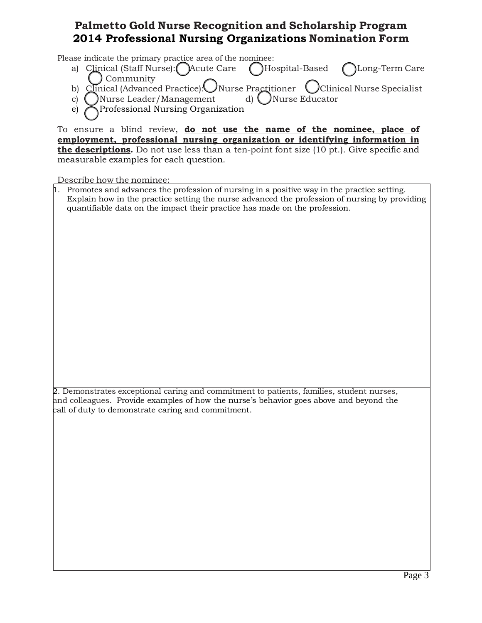Please indicate the primary practice area of the nominee:

- a) Clinical (Staff Nurse):  $\left(\right)$  Acute Care  $\left(\right)$  Hospital-Based  $\left(\right)$  Long-Term Care Community
- b) Clinical (Advanced Practice): Nurse Practitioner (Clinical Nurse Specialist
- c) ( ) Nurse Leader/Management d) ( ) Nurse Educator
- e) Professional Nursing Organization

To ensure a blind review, **do not use the name of the nominee, place of employment, professional nursing organization or identifying information in the descriptions.** Do not use less than a ten-point font size (10 pt.). Give specific and measurable examples for each question.

Describe how the nominee:

 $\mu$ . Promotes and advances the profession of nursing in a positive way in the practice setting. Explain how in the practice setting the nurse advanced the profession of nursing by providing quantifiable data on the impact their practice has made on the profession.

2. Demonstrates exceptional caring and commitment to patients, families, student nurses, and colleagues. Provide examples of how the nurse's behavior goes above and beyond the call of duty to demonstrate caring and commitment.